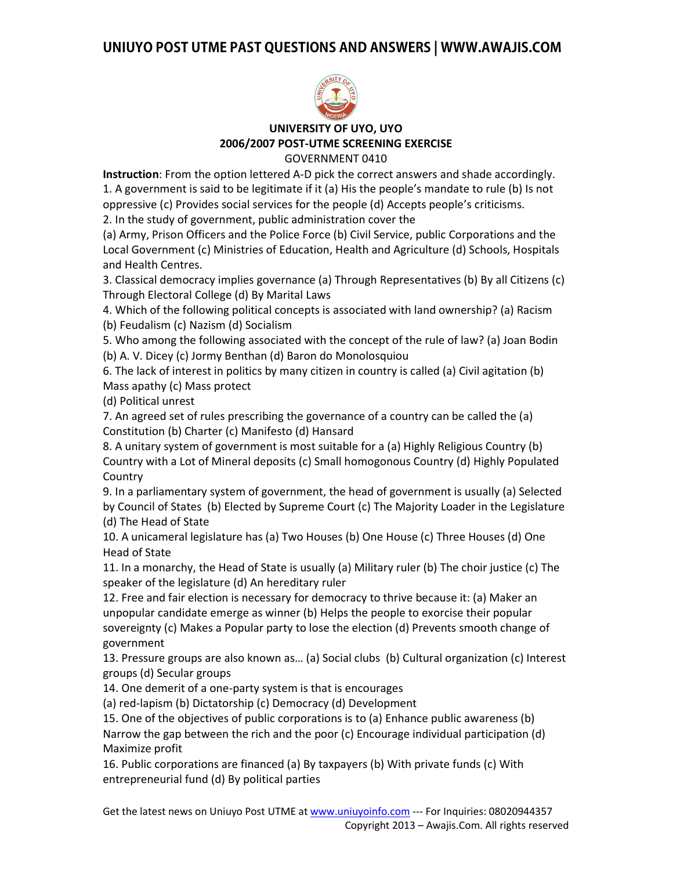

# **UNIVERSITY OF UYO, UYO 2006/2007 POST-UTME SCREENING EXERCISE**

GOVERNMENT 0410

**Instruction**: From the option lettered A-D pick the correct answers and shade accordingly. 1. A government is said to be legitimate if it (a) His the people's mandate to rule (b) Is not oppressive (c) Provides social services for the people (d) Accepts people's criticisms.

2. In the study of government, public administration cover the

(a) Army, Prison Officers and the Police Force (b) Civil Service, public Corporations and the Local Government (c) Ministries of Education, Health and Agriculture (d) Schools, Hospitals and Health Centres.

3. Classical democracy implies governance (a) Through Representatives (b) By all Citizens (c) Through Electoral College (d) By Marital Laws

4. Which of the following political concepts is associated with land ownership? (a) Racism (b) Feudalism (c) Nazism (d) Socialism

5. Who among the following associated with the concept of the rule of law? (a) Joan Bodin (b) A. V. Dicey (c) Jormy Benthan (d) Baron do Monolosquiou

6. The lack of interest in politics by many citizen in country is called (a) Civil agitation (b) Mass apathy (c) Mass protect

(d) Political unrest

7. An agreed set of rules prescribing the governance of a country can be called the (a) Constitution (b) Charter (c) Manifesto (d) Hansard

8. A unitary system of government is most suitable for a (a) Highly Religious Country (b) Country with a Lot of Mineral deposits (c) Small homogonous Country (d) Highly Populated **Country** 

9. In a parliamentary system of government, the head of government is usually (a) Selected by Council of States (b) Elected by Supreme Court (c) The Majority Loader in the Legislature (d) The Head of State

10. A unicameral legislature has (a) Two Houses (b) One House (c) Three Houses (d) One Head of State

11. In a monarchy, the Head of State is usually (a) Military ruler (b) The choir justice (c) The speaker of the legislature (d) An hereditary ruler

12. Free and fair election is necessary for democracy to thrive because it: (a) Maker an unpopular candidate emerge as winner (b) Helps the people to exorcise their popular sovereignty (c) Makes a Popular party to lose the election (d) Prevents smooth change of government

13. Pressure groups are also known as… (a) Social clubs (b) Cultural organization (c) Interest groups (d) Secular groups

14. One demerit of a one-party system is that is encourages

(a) red-lapism (b) Dictatorship (c) Democracy (d) Development

15. One of the objectives of public corporations is to (a) Enhance public awareness (b) Narrow the gap between the rich and the poor (c) Encourage individual participation (d) Maximize profit

16. Public corporations are financed (a) By taxpayers (b) With private funds (c) With entrepreneurial fund (d) By political parties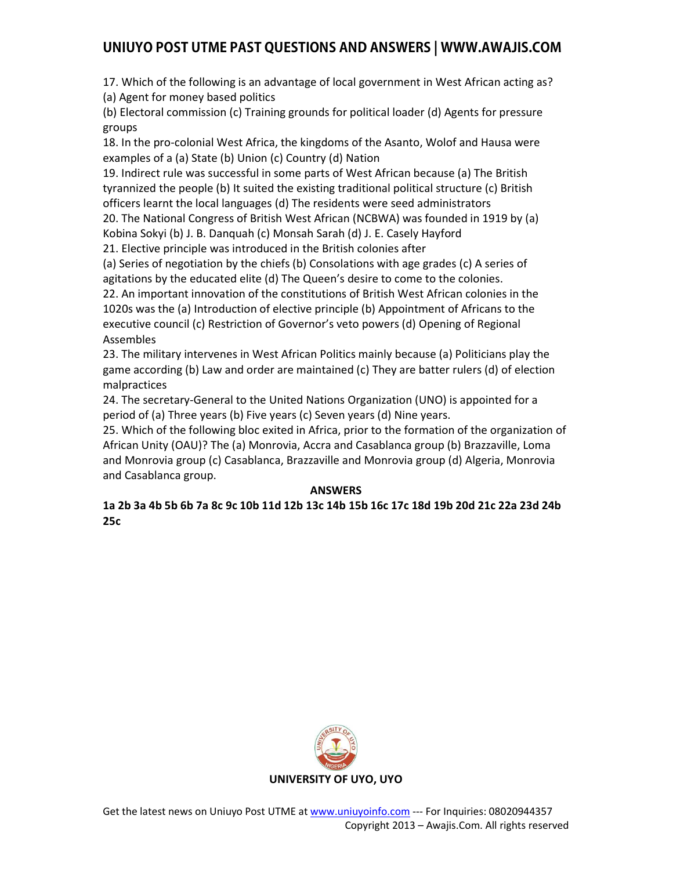17. Which of the following is an advantage of local government in West African acting as?

(a) Agent for money based politics

(b) Electoral commission (c) Training grounds for political loader (d) Agents for pressure groups

18. In the pro-colonial West Africa, the kingdoms of the Asanto, Wolof and Hausa were examples of a (a) State (b) Union (c) Country (d) Nation

19. Indirect rule was successful in some parts of West African because (a) The British tyrannized the people (b) It suited the existing traditional political structure (c) British officers learnt the local languages (d) The residents were seed administrators

20. The National Congress of British West African (NCBWA) was founded in 1919 by (a) Kobina Sokyi (b) J. B. Danquah (c) Monsah Sarah (d) J. E. Casely Hayford

21. Elective principle was introduced in the British colonies after

(a) Series of negotiation by the chiefs (b) Consolations with age grades (c) A series of agitations by the educated elite (d) The Queen's desire to come to the colonies.

22. An important innovation of the constitutions of British West African colonies in the 1020s was the (a) Introduction of elective principle (b) Appointment of Africans to the executive council (c) Restriction of Governor's veto powers (d) Opening of Regional Assembles

23. The military intervenes in West African Politics mainly because (a) Politicians play the game according (b) Law and order are maintained (c) They are batter rulers (d) of election malpractices

24. The secretary-General to the United Nations Organization (UNO) is appointed for a period of (a) Three years (b) Five years (c) Seven years (d) Nine years.

25. Which of the following bloc exited in Africa, prior to the formation of the organization of African Unity (OAU)? The (a) Monrovia, Accra and Casablanca group (b) Brazzaville, Loma and Monrovia group (c) Casablanca, Brazzaville and Monrovia group (d) Algeria, Monrovia and Casablanca group.

### **ANSWERS**

**1a 2b 3a 4b 5b 6b 7a 8c 9c 10b 11d 12b 13c 14b 15b 16c 17c 18d 19b 20d 21c 22a 23d 24b 25c** 

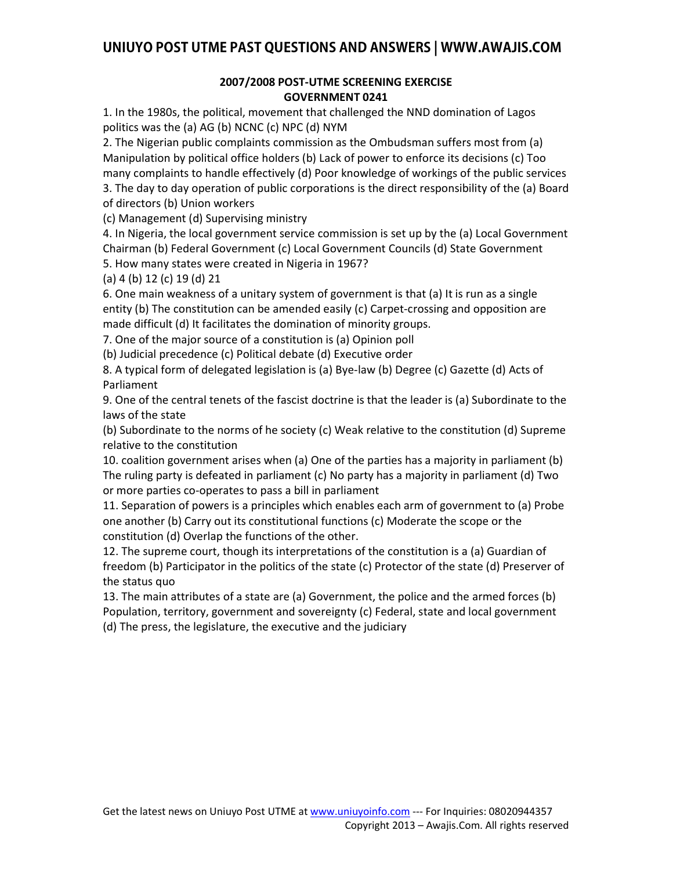#### **2007/2008 POST-UTME SCREENING EXERCISE GOVERNMENT 0241**

1. In the 1980s, the political, movement that challenged the NND domination of Lagos politics was the (a) AG (b) NCNC (c) NPC (d) NYM

2. The Nigerian public complaints commission as the Ombudsman suffers most from (a) Manipulation by political office holders (b) Lack of power to enforce its decisions (c) Too many complaints to handle effectively (d) Poor knowledge of workings of the public services 3. The day to day operation of public corporations is the direct responsibility of the (a) Board of directors (b) Union workers

(c) Management (d) Supervising ministry

4. In Nigeria, the local government service commission is set up by the (a) Local Government Chairman (b) Federal Government (c) Local Government Councils (d) State Government

5. How many states were created in Nigeria in 1967? (a) 4 (b) 12 (c) 19 (d) 21

6. One main weakness of a unitary system of government is that (a) It is run as a single entity (b) The constitution can be amended easily (c) Carpet-crossing and opposition are made difficult (d) It facilitates the domination of minority groups.

7. One of the major source of a constitution is (a) Opinion poll

(b) Judicial precedence (c) Political debate (d) Executive order

8. A typical form of delegated legislation is (a) Bye-law (b) Degree (c) Gazette (d) Acts of Parliament

9. One of the central tenets of the fascist doctrine is that the leader is (a) Subordinate to the laws of the state

(b) Subordinate to the norms of he society (c) Weak relative to the constitution (d) Supreme relative to the constitution

10. coalition government arises when (a) One of the parties has a majority in parliament (b) The ruling party is defeated in parliament (c) No party has a majority in parliament (d) Two or more parties co-operates to pass a bill in parliament

11. Separation of powers is a principles which enables each arm of government to (a) Probe one another (b) Carry out its constitutional functions (c) Moderate the scope or the constitution (d) Overlap the functions of the other.

12. The supreme court, though its interpretations of the constitution is a (a) Guardian of freedom (b) Participator in the politics of the state (c) Protector of the state (d) Preserver of the status quo

13. The main attributes of a state are (a) Government, the police and the armed forces (b) Population, territory, government and sovereignty (c) Federal, state and local government (d) The press, the legislature, the executive and the judiciary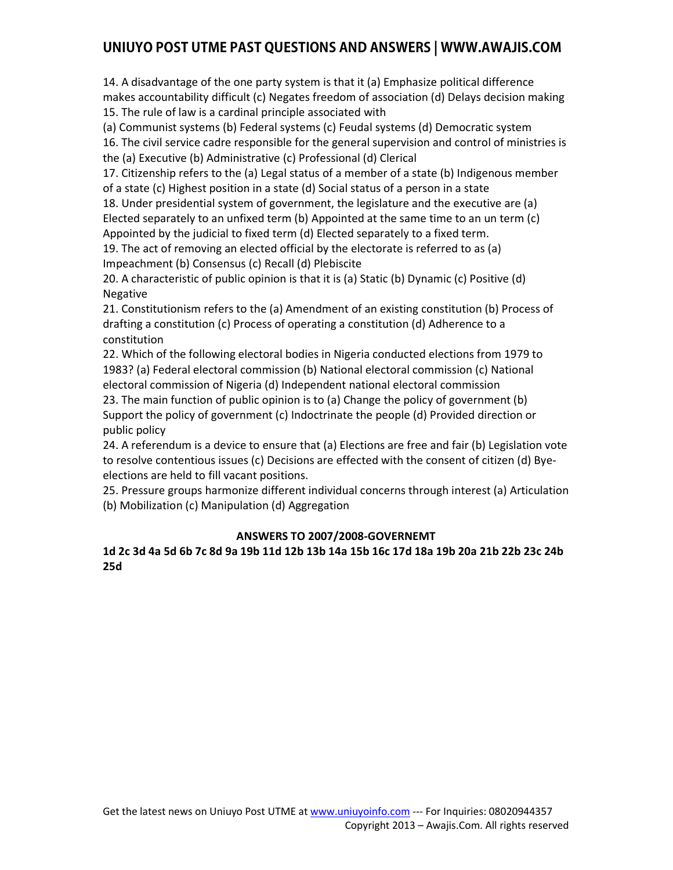14. A disadvantage of the one party system is that it (a) Emphasize political difference makes accountability difficult (c) Negates freedom of association (d) Delays decision making 15. The rule of law is a cardinal principle associated with

(a) Communist systems (b) Federal systems (c) Feudal systems (d) Democratic system

16. The civil service cadre responsible for the general supervision and control of ministries is the (a) Executive (b) Administrative (c) Professional (d) Clerical

17. Citizenship refers to the (a) Legal status of a member of a state (b) Indigenous member of a state (c) Highest position in a state (d) Social status of a person in a state

18. Under presidential system of government, the legislature and the executive are (a) Elected separately to an unfixed term (b) Appointed at the same time to an un term (c) Appointed by the judicial to fixed term (d) Elected separately to a fixed term.

19. The act of removing an elected official by the electorate is referred to as (a) Impeachment (b) Consensus (c) Recall (d) Plebiscite

20. A characteristic of public opinion is that it is (a) Static (b) Dynamic (c) Positive (d) Negative

21. Constitutionism refers to the (a) Amendment of an existing constitution (b) Process of drafting a constitution (c) Process of operating a constitution (d) Adherence to a constitution

22. Which of the following electoral bodies in Nigeria conducted elections from 1979 to 1983? (a) Federal electoral commission (b) National electoral commission (c) National electoral commission of Nigeria (d) Independent national electoral commission

23. The main function of public opinion is to (a) Change the policy of government (b) Support the policy of government (c) Indoctrinate the people (d) Provided direction or public policy

24. A referendum is a device to ensure that (a) Elections are free and fair (b) Legislation vote to resolve contentious issues (c) Decisions are effected with the consent of citizen (d) Byeelections are held to fill vacant positions.

25. Pressure groups harmonize different individual concerns through interest (a) Articulation (b) Mobilization (c) Manipulation (d) Aggregation

### **ANSWERS TO 2007/2008-GOVERNEMT**

#### **1d 2c 3d 4a 5d 6b 7c 8d 9a 19b 11d 12b 13b 14a 15b 16c 17d 18a 19b 20a 21b 22b 23c 24b 25d**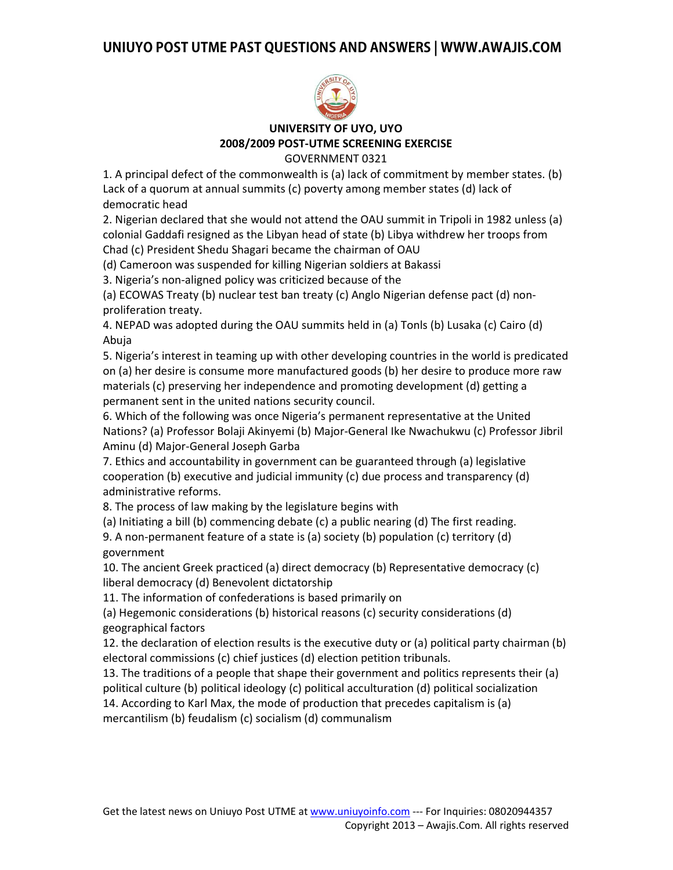

**UNIVERSITY OF UYO, UYO 2008/2009 POST-UTME SCREENING EXERCISE** GOVERNMENT 0321

1. A principal defect of the commonwealth is (a) lack of commitment by member states. (b) Lack of a quorum at annual summits (c) poverty among member states (d) lack of democratic head

2. Nigerian declared that she would not attend the OAU summit in Tripoli in 1982 unless (a) colonial Gaddafi resigned as the Libyan head of state (b) Libya withdrew her troops from Chad (c) President Shedu Shagari became the chairman of OAU

(d) Cameroon was suspended for killing Nigerian soldiers at Bakassi

3. Nigeria's non-aligned policy was criticized because of the

(a) ECOWAS Treaty (b) nuclear test ban treaty (c) Anglo Nigerian defense pact (d) nonproliferation treaty.

4. NEPAD was adopted during the OAU summits held in (a) Tonls (b) Lusaka (c) Cairo (d) Abuja

5. Nigeria's interest in teaming up with other developing countries in the world is predicated on (a) her desire is consume more manufactured goods (b) her desire to produce more raw materials (c) preserving her independence and promoting development (d) getting a permanent sent in the united nations security council.

6. Which of the following was once Nigeria's permanent representative at the United Nations? (a) Professor Bolaji Akinyemi (b) Major-General Ike Nwachukwu (c) Professor Jibril Aminu (d) Major-General Joseph Garba

7. Ethics and accountability in government can be guaranteed through (a) legislative cooperation (b) executive and judicial immunity (c) due process and transparency (d) administrative reforms.

8. The process of law making by the legislature begins with

(a) Initiating a bill (b) commencing debate (c) a public nearing (d) The first reading.

9. A non-permanent feature of a state is (a) society (b) population (c) territory (d) government

10. The ancient Greek practiced (a) direct democracy (b) Representative democracy (c) liberal democracy (d) Benevolent dictatorship

11. The information of confederations is based primarily on

(a) Hegemonic considerations (b) historical reasons (c) security considerations (d) geographical factors

12. the declaration of election results is the executive duty or (a) political party chairman (b) electoral commissions (c) chief justices (d) election petition tribunals.

13. The traditions of a people that shape their government and politics represents their (a) political culture (b) political ideology (c) political acculturation (d) political socialization 14. According to Karl Max, the mode of production that precedes capitalism is (a)

mercantilism (b) feudalism (c) socialism (d) communalism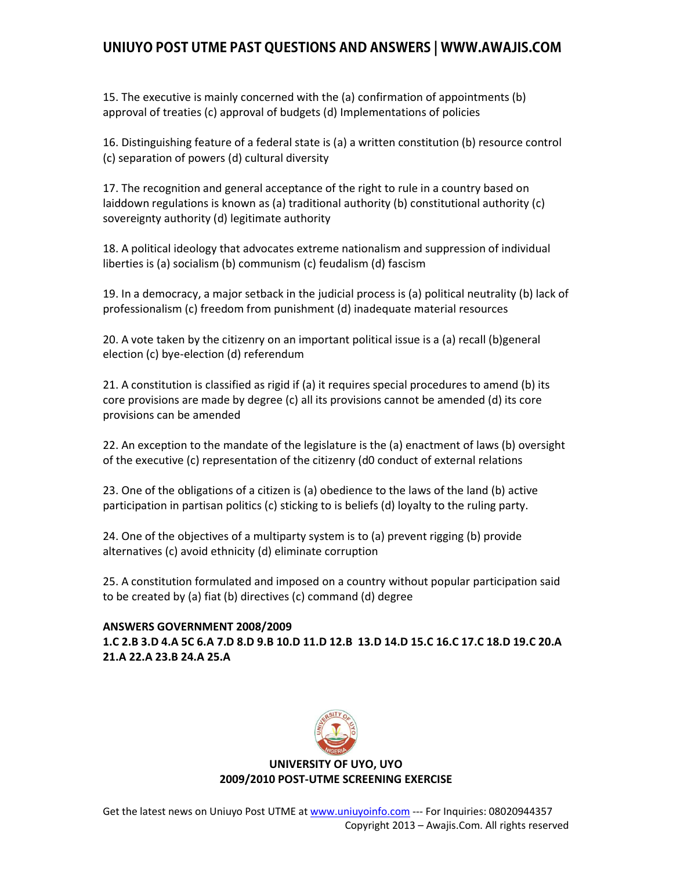15. The executive is mainly concerned with the (a) confirmation of appointments (b) approval of treaties (c) approval of budgets (d) Implementations of policies

16. Distinguishing feature of a federal state is (a) a written constitution (b) resource control (c) separation of powers (d) cultural diversity

17. The recognition and general acceptance of the right to rule in a country based on laiddown regulations is known as (a) traditional authority (b) constitutional authority (c) sovereignty authority (d) legitimate authority

18. A political ideology that advocates extreme nationalism and suppression of individual liberties is (a) socialism (b) communism (c) feudalism (d) fascism

19. In a democracy, a major setback in the judicial process is (a) political neutrality (b) lack of professionalism (c) freedom from punishment (d) inadequate material resources

20. A vote taken by the citizenry on an important political issue is a (a) recall (b)general election (c) bye-election (d) referendum

21. A constitution is classified as rigid if (a) it requires special procedures to amend (b) its core provisions are made by degree (c) all its provisions cannot be amended (d) its core provisions can be amended

22. An exception to the mandate of the legislature is the (a) enactment of laws (b) oversight of the executive (c) representation of the citizenry (d0 conduct of external relations

23. One of the obligations of a citizen is (a) obedience to the laws of the land (b) active participation in partisan politics (c) sticking to is beliefs (d) loyalty to the ruling party.

24. One of the objectives of a multiparty system is to (a) prevent rigging (b) provide alternatives (c) avoid ethnicity (d) eliminate corruption

25. A constitution formulated and imposed on a country without popular participation said to be created by (a) fiat (b) directives (c) command (d) degree

#### **ANSWERS GOVERNMENT 2008/2009**

**1.C 2.B 3.D 4.A 5C 6.A 7.D 8.D 9.B 10.D 11.D 12.B 13.D 14.D 15.C 16.C 17.C 18.D 19.C 20.A 21.A 22.A 23.B 24.A 25.A** 



#### **UNIVERSITY OF UYO, UYO 2009/2010 POST-UTME SCREENING EXERCISE**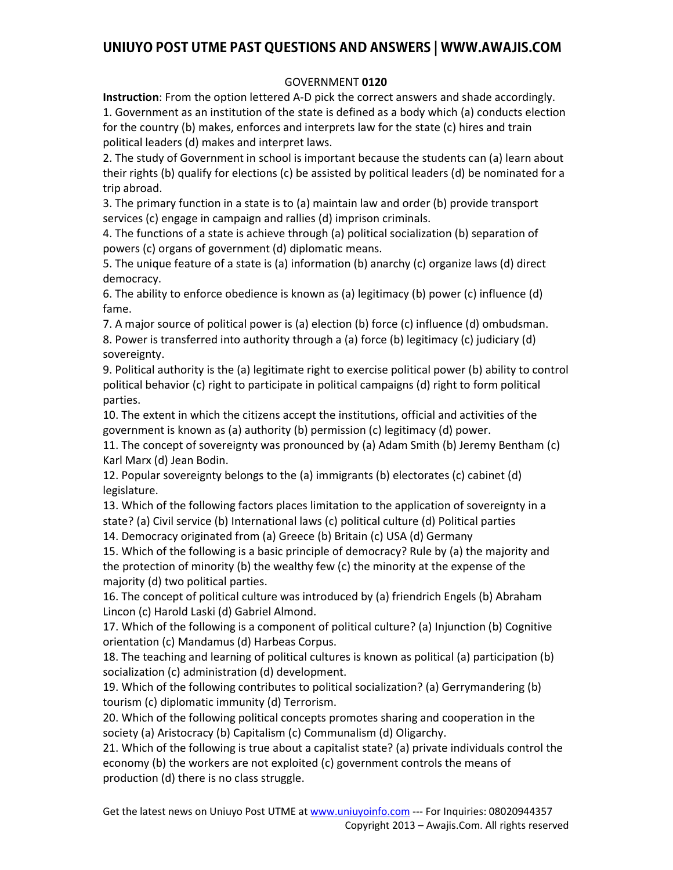#### GOVERNMENT **0120**

**Instruction**: From the option lettered A-D pick the correct answers and shade accordingly. 1. Government as an institution of the state is defined as a body which (a) conducts election for the country (b) makes, enforces and interprets law for the state (c) hires and train political leaders (d) makes and interpret laws.

2. The study of Government in school is important because the students can (a) learn about their rights (b) qualify for elections (c) be assisted by political leaders (d) be nominated for a trip abroad.

3. The primary function in a state is to (a) maintain law and order (b) provide transport services (c) engage in campaign and rallies (d) imprison criminals.

4. The functions of a state is achieve through (a) political socialization (b) separation of powers (c) organs of government (d) diplomatic means.

5. The unique feature of a state is (a) information (b) anarchy (c) organize laws (d) direct democracy.

6. The ability to enforce obedience is known as (a) legitimacy (b) power (c) influence (d) fame.

7. A major source of political power is (a) election (b) force (c) influence (d) ombudsman. 8. Power is transferred into authority through a (a) force (b) legitimacy (c) judiciary (d) sovereignty.

9. Political authority is the (a) legitimate right to exercise political power (b) ability to control political behavior (c) right to participate in political campaigns (d) right to form political parties.

10. The extent in which the citizens accept the institutions, official and activities of the government is known as (a) authority (b) permission (c) legitimacy (d) power.

11. The concept of sovereignty was pronounced by (a) Adam Smith (b) Jeremy Bentham (c) Karl Marx (d) Jean Bodin.

12. Popular sovereignty belongs to the (a) immigrants (b) electorates (c) cabinet (d) legislature.

13. Which of the following factors places limitation to the application of sovereignty in a state? (a) Civil service (b) International laws (c) political culture (d) Political parties

14. Democracy originated from (a) Greece (b) Britain (c) USA (d) Germany

15. Which of the following is a basic principle of democracy? Rule by (a) the majority and the protection of minority (b) the wealthy few (c) the minority at the expense of the majority (d) two political parties.

16. The concept of political culture was introduced by (a) friendrich Engels (b) Abraham Lincon (c) Harold Laski (d) Gabriel Almond.

17. Which of the following is a component of political culture? (a) Injunction (b) Cognitive orientation (c) Mandamus (d) Harbeas Corpus.

18. The teaching and learning of political cultures is known as political (a) participation (b) socialization (c) administration (d) development.

19. Which of the following contributes to political socialization? (a) Gerrymandering (b) tourism (c) diplomatic immunity (d) Terrorism.

20. Which of the following political concepts promotes sharing and cooperation in the society (a) Aristocracy (b) Capitalism (c) Communalism (d) Oligarchy.

21. Which of the following is true about a capitalist state? (a) private individuals control the economy (b) the workers are not exploited (c) government controls the means of production (d) there is no class struggle.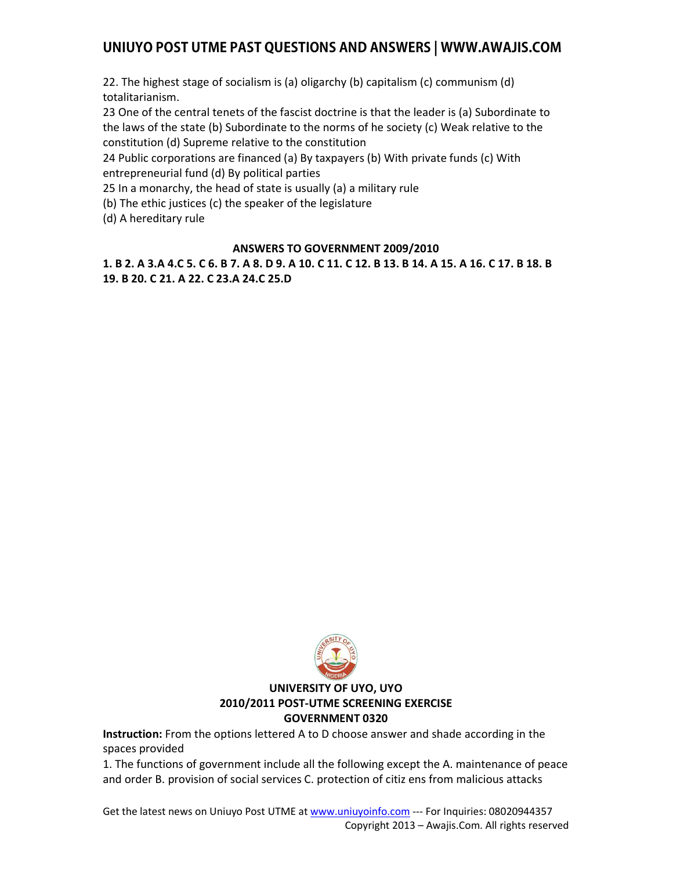22. The highest stage of socialism is (a) oligarchy (b) capitalism (c) communism (d) totalitarianism.

23 One of the central tenets of the fascist doctrine is that the leader is (a) Subordinate to the laws of the state (b) Subordinate to the norms of he society (c) Weak relative to the constitution (d) Supreme relative to the constitution

24 Public corporations are financed (a) By taxpayers (b) With private funds (c) With entrepreneurial fund (d) By political parties

25 In a monarchy, the head of state is usually (a) a military rule

(b) The ethic justices (c) the speaker of the legislature

(d) A hereditary rule

#### **ANSWERS TO GOVERNMENT 2009/2010**

**1. B 2. A 3.A 4.C 5. C 6. B 7. A 8. D 9. A 10. C 11. C 12. B 13. B 14. A 15. A 16. C 17. B 18. B 19. B 20. C 21. A 22. C 23.A 24.C 25.D** 



#### **UNIVERSITY OF UYO, UYO 2010/2011 POST-UTME SCREENING EXERCISE GOVERNMENT 0320**

**Instruction:** From the options lettered A to D choose answer and shade according in the spaces provided

1. The functions of government include all the following except the A. maintenance of peace and order B. provision of social services C. protection of citiz ens from malicious attacks

Get the latest news on Uniuyo Post UTME at www.uniuyoinfo.com --- For Inquiries: 08020944357 Copyright 2013 – Awajis.Com. All rights reserved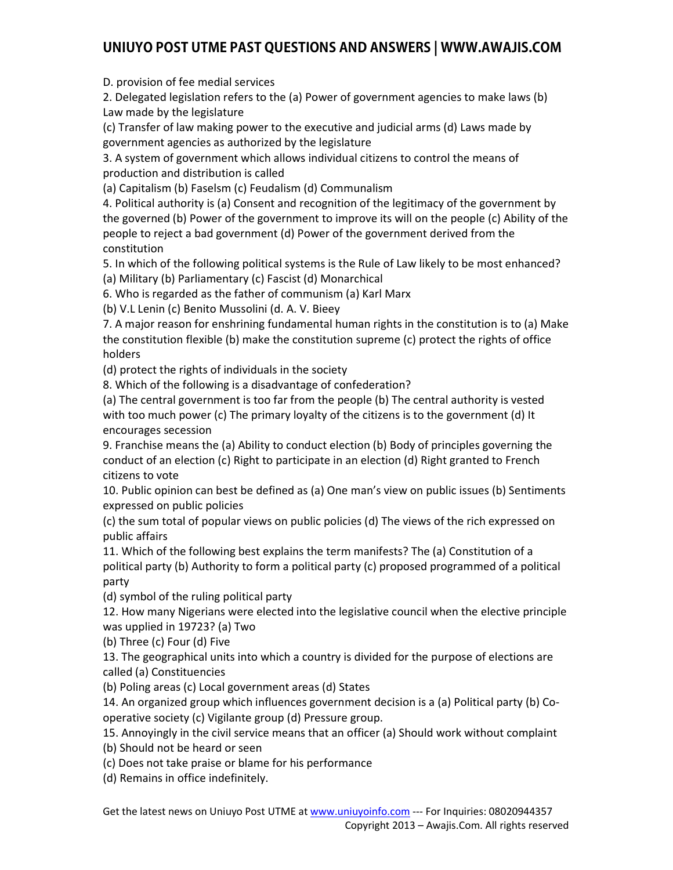D. provision of fee medial services

2. Delegated legislation refers to the (a) Power of government agencies to make laws (b) Law made by the legislature

(c) Transfer of law making power to the executive and judicial arms (d) Laws made by government agencies as authorized by the legislature

3. A system of government which allows individual citizens to control the means of production and distribution is called

(a) Capitalism (b) Faselsm (c) Feudalism (d) Communalism

4. Political authority is (a) Consent and recognition of the legitimacy of the government by the governed (b) Power of the government to improve its will on the people (c) Ability of the people to reject a bad government (d) Power of the government derived from the constitution

5. In which of the following political systems is the Rule of Law likely to be most enhanced? (a) Military (b) Parliamentary (c) Fascist (d) Monarchical

6. Who is regarded as the father of communism (a) Karl Marx

(b) V.L Lenin (c) Benito Mussolini (d. A. V. Bieey

7. A major reason for enshrining fundamental human rights in the constitution is to (a) Make the constitution flexible (b) make the constitution supreme (c) protect the rights of office holders

(d) protect the rights of individuals in the society

8. Which of the following is a disadvantage of confederation?

(a) The central government is too far from the people (b) The central authority is vested with too much power (c) The primary loyalty of the citizens is to the government (d) It encourages secession

9. Franchise means the (a) Ability to conduct election (b) Body of principles governing the conduct of an election (c) Right to participate in an election (d) Right granted to French citizens to vote

10. Public opinion can best be defined as (a) One man's view on public issues (b) Sentiments expressed on public policies

(c) the sum total of popular views on public policies (d) The views of the rich expressed on public affairs

11. Which of the following best explains the term manifests? The (a) Constitution of a political party (b) Authority to form a political party (c) proposed programmed of a political party

(d) symbol of the ruling political party

12. How many Nigerians were elected into the legislative council when the elective principle was upplied in 19723? (a) Two

(b) Three (c) Four (d) Five

13. The geographical units into which a country is divided for the purpose of elections are called (a) Constituencies

(b) Poling areas (c) Local government areas (d) States

14. An organized group which influences government decision is a (a) Political party (b) Cooperative society (c) Vigilante group (d) Pressure group.

15. Annoyingly in the civil service means that an officer (a) Should work without complaint

(b) Should not be heard or seen

(c) Does not take praise or blame for his performance

(d) Remains in office indefinitely.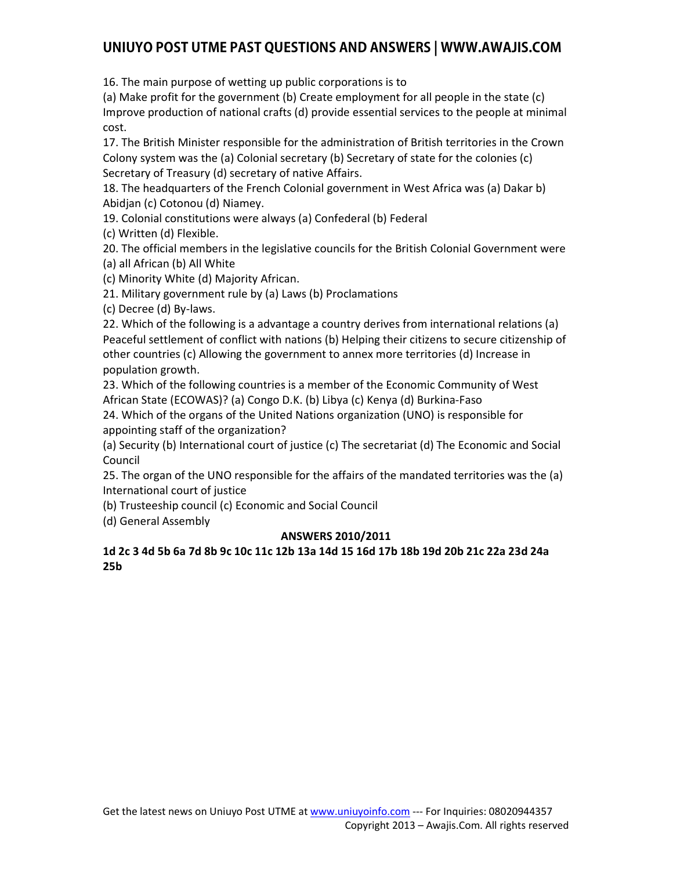16. The main purpose of wetting up public corporations is to

(a) Make profit for the government (b) Create employment for all people in the state (c) Improve production of national crafts (d) provide essential services to the people at minimal cost.

17. The British Minister responsible for the administration of British territories in the Crown Colony system was the (a) Colonial secretary (b) Secretary of state for the colonies (c) Secretary of Treasury (d) secretary of native Affairs.

18. The headquarters of the French Colonial government in West Africa was (a) Dakar b) Abidjan (c) Cotonou (d) Niamey.

19. Colonial constitutions were always (a) Confederal (b) Federal

(c) Written (d) Flexible.

20. The official members in the legislative councils for the British Colonial Government were

(a) all African (b) All White

(c) Minority White (d) Majority African.

21. Military government rule by (a) Laws (b) Proclamations

(c) Decree (d) By-laws.

22. Which of the following is a advantage a country derives from international relations (a) Peaceful settlement of conflict with nations (b) Helping their citizens to secure citizenship of other countries (c) Allowing the government to annex more territories (d) Increase in population growth.

23. Which of the following countries is a member of the Economic Community of West African State (ECOWAS)? (a) Congo D.K. (b) Libya (c) Kenya (d) Burkina-Faso

24. Which of the organs of the United Nations organization (UNO) is responsible for appointing staff of the organization?

(a) Security (b) International court of justice (c) The secretariat (d) The Economic and Social Council

25. The organ of the UNO responsible for the affairs of the mandated territories was the (a) International court of justice

(b) Trusteeship council (c) Economic and Social Council

(d) General Assembly

#### **ANSWERS 2010/2011**

#### **1d 2c 3 4d 5b 6a 7d 8b 9c 10c 11c 12b 13a 14d 15 16d 17b 18b 19d 20b 21c 22a 23d 24a 25b**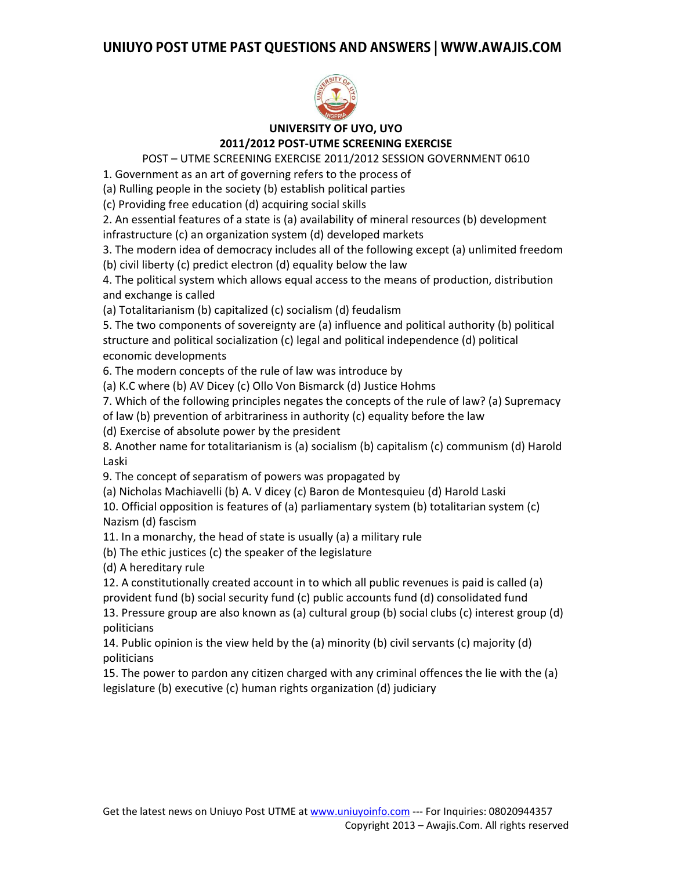

### **UNIVERSITY OF UYO, UYO 2011/2012 POST-UTME SCREENING EXERCISE**

POST – UTME SCREENING EXERCISE 2011/2012 SESSION GOVERNMENT 0610

1. Government as an art of governing refers to the process of

(a) Rulling people in the society (b) establish political parties

(c) Providing free education (d) acquiring social skills

2. An essential features of a state is (a) availability of mineral resources (b) development infrastructure (c) an organization system (d) developed markets

3. The modern idea of democracy includes all of the following except (a) unlimited freedom (b) civil liberty (c) predict electron (d) equality below the law

4. The political system which allows equal access to the means of production, distribution and exchange is called

(a) Totalitarianism (b) capitalized (c) socialism (d) feudalism

5. The two components of sovereignty are (a) influence and political authority (b) political structure and political socialization (c) legal and political independence (d) political economic developments

6. The modern concepts of the rule of law was introduce by

(a) K.C where (b) AV Dicey (c) Ollo Von Bismarck (d) Justice Hohms

7. Which of the following principles negates the concepts of the rule of law? (a) Supremacy

of law (b) prevention of arbitrariness in authority (c) equality before the law

(d) Exercise of absolute power by the president

8. Another name for totalitarianism is (a) socialism (b) capitalism (c) communism (d) Harold Laski

9. The concept of separatism of powers was propagated by

(a) Nicholas Machiavelli (b) A. V dicey (c) Baron de Montesquieu (d) Harold Laski

10. Official opposition is features of (a) parliamentary system (b) totalitarian system (c) Nazism (d) fascism

11. In a monarchy, the head of state is usually (a) a military rule

(b) The ethic justices (c) the speaker of the legislature

(d) A hereditary rule

12. A constitutionally created account in to which all public revenues is paid is called (a) provident fund (b) social security fund (c) public accounts fund (d) consolidated fund

13. Pressure group are also known as (a) cultural group (b) social clubs (c) interest group (d) politicians

14. Public opinion is the view held by the (a) minority (b) civil servants (c) majority (d) politicians

15. The power to pardon any citizen charged with any criminal offences the lie with the (a) legislature (b) executive (c) human rights organization (d) judiciary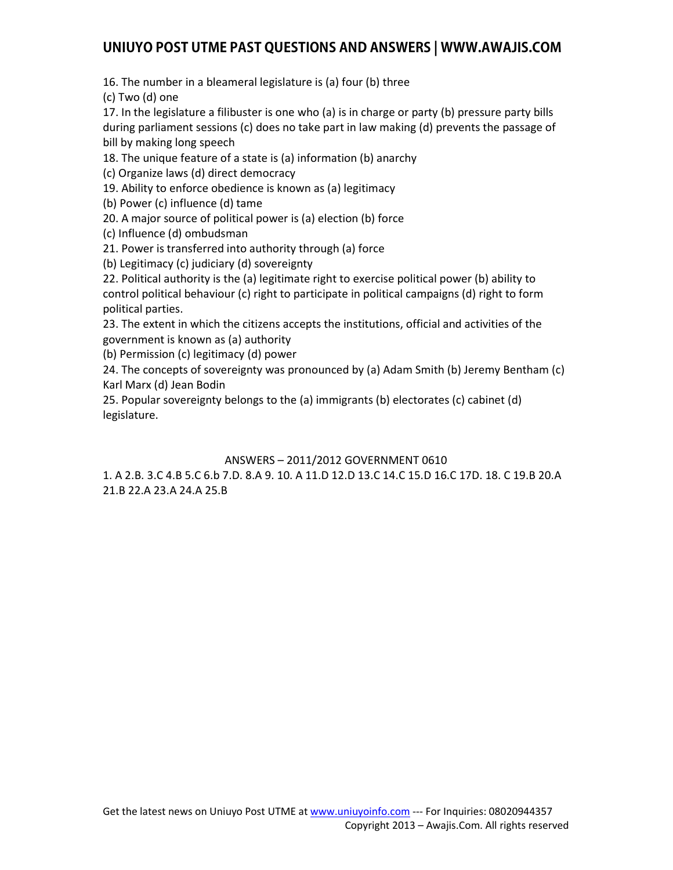16. The number in a bleameral legislature is (a) four (b) three

(c) Two (d) one

17. In the legislature a filibuster is one who (a) is in charge or party (b) pressure party bills during parliament sessions (c) does no take part in law making (d) prevents the passage of bill by making long speech

18. The unique feature of a state is (a) information (b) anarchy

(c) Organize laws (d) direct democracy

19. Ability to enforce obedience is known as (a) legitimacy

(b) Power (c) influence (d) tame

20. A major source of political power is (a) election (b) force

(c) Influence (d) ombudsman

21. Power is transferred into authority through (a) force

(b) Legitimacy (c) judiciary (d) sovereignty

22. Political authority is the (a) legitimate right to exercise political power (b) ability to control political behaviour (c) right to participate in political campaigns (d) right to form political parties.

23. The extent in which the citizens accepts the institutions, official and activities of the government is known as (a) authority

(b) Permission (c) legitimacy (d) power

24. The concepts of sovereignty was pronounced by (a) Adam Smith (b) Jeremy Bentham (c) Karl Marx (d) Jean Bodin

25. Popular sovereignty belongs to the (a) immigrants (b) electorates (c) cabinet (d) legislature.

#### ANSWERS – 2011/2012 GOVERNMENT 0610

1. A 2.B. 3.C 4.B 5.C 6.b 7.D. 8.A 9. 10. A 11.D 12.D 13.C 14.C 15.D 16.C 17D. 18. C 19.B 20.A 21.B 22.A 23.A 24.A 25.B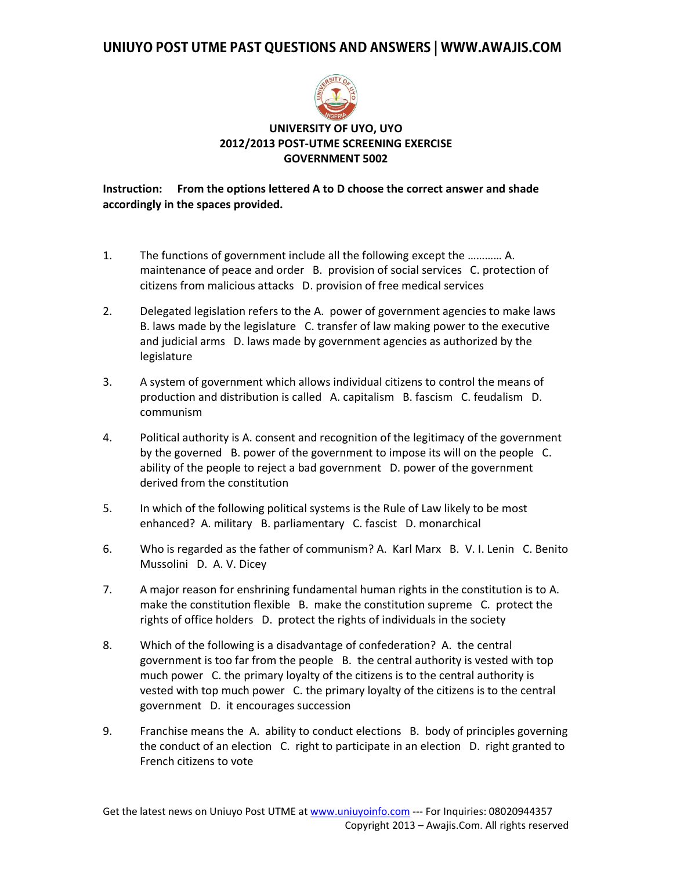

#### **UNIVERSITY OF UYO, UYO 2012/2013 POST-UTME SCREENING EXERCISE GOVERNMENT 5002**

#### **Instruction: From the options lettered A to D choose the correct answer and shade accordingly in the spaces provided.**

- 1. The functions of government include all the following except the ………… A. maintenance of peace and order B. provision of social services C. protection of citizens from malicious attacks D. provision of free medical services
- 2. Delegated legislation refers to the A. power of government agencies to make laws B. laws made by the legislature C. transfer of law making power to the executive and judicial arms D. laws made by government agencies as authorized by the legislature
- 3. A system of government which allows individual citizens to control the means of production and distribution is called A. capitalism B. fascism C. feudalism D. communism
- 4. Political authority is A. consent and recognition of the legitimacy of the government by the governed B. power of the government to impose its will on the people C. ability of the people to reject a bad government D. power of the government derived from the constitution
- 5. In which of the following political systems is the Rule of Law likely to be most enhanced? A. military B. parliamentary C. fascist D. monarchical
- 6. Who is regarded as the father of communism? A. Karl Marx B. V. I. Lenin C. Benito Mussolini D. A. V. Dicey
- 7. A major reason for enshrining fundamental human rights in the constitution is to A. make the constitution flexible B. make the constitution supreme C. protect the rights of office holders D. protect the rights of individuals in the society
- 8. Which of the following is a disadvantage of confederation? A. the central government is too far from the people B. the central authority is vested with top much power C. the primary loyalty of the citizens is to the central authority is vested with top much power C. the primary loyalty of the citizens is to the central government D. it encourages succession
- 9. Franchise means the A. ability to conduct elections B. body of principles governing the conduct of an election C. right to participate in an election D. right granted to French citizens to vote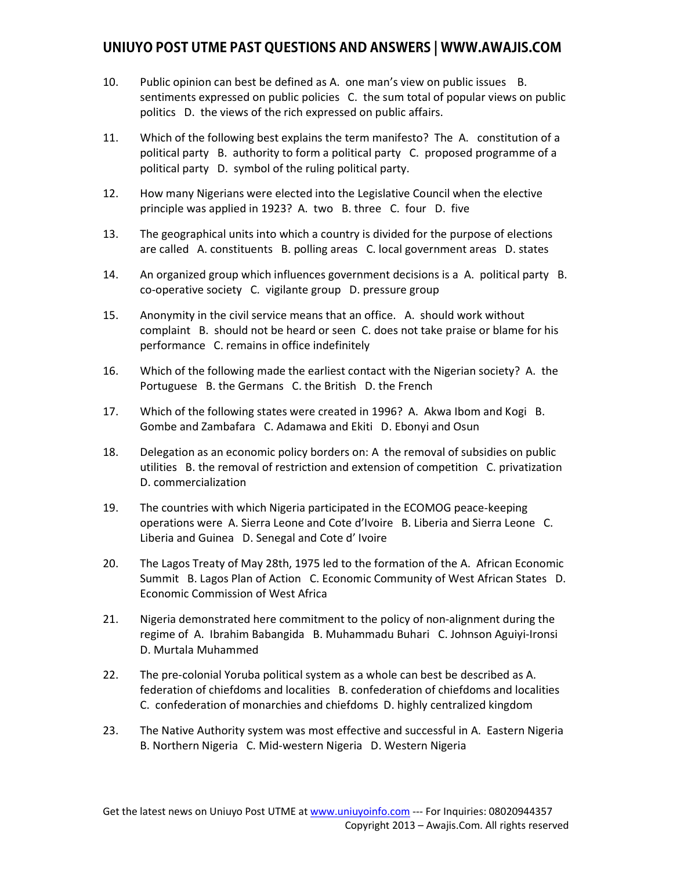- 10. Public opinion can best be defined as A. one man's view on public issues B. sentiments expressed on public policies C. the sum total of popular views on public politics D. the views of the rich expressed on public affairs.
- 11. Which of the following best explains the term manifesto? The A. constitution of a political party B. authority to form a political party C. proposed programme of a political party D. symbol of the ruling political party.
- 12. How many Nigerians were elected into the Legislative Council when the elective principle was applied in 1923? A. two B. three C. four D. five
- 13. The geographical units into which a country is divided for the purpose of elections are called A. constituents B. polling areas C. local government areas D. states
- 14. An organized group which influences government decisions is a A. political party B. co-operative society C. vigilante group D. pressure group
- 15. Anonymity in the civil service means that an office. A. should work without complaint B. should not be heard or seen C. does not take praise or blame for his performance C. remains in office indefinitely
- 16. Which of the following made the earliest contact with the Nigerian society? A. the Portuguese B. the Germans C. the British D. the French
- 17. Which of the following states were created in 1996? A. Akwa Ibom and Kogi B. Gombe and Zambafara C. Adamawa and Ekiti D. Ebonyi and Osun
- 18. Delegation as an economic policy borders on: A the removal of subsidies on public utilities B. the removal of restriction and extension of competition C. privatization D. commercialization
- 19. The countries with which Nigeria participated in the ECOMOG peace-keeping operations were A. Sierra Leone and Cote d'Ivoire B. Liberia and Sierra Leone C. Liberia and Guinea D. Senegal and Cote d' Ivoire
- 20. The Lagos Treaty of May 28th, 1975 led to the formation of the A. African Economic Summit B. Lagos Plan of Action C. Economic Community of West African States D. Economic Commission of West Africa
- 21. Nigeria demonstrated here commitment to the policy of non-alignment during the regime of A. Ibrahim Babangida B. Muhammadu Buhari C. Johnson Aguiyi-Ironsi D. Murtala Muhammed
- 22. The pre-colonial Yoruba political system as a whole can best be described as A. federation of chiefdoms and localities B. confederation of chiefdoms and localities C. confederation of monarchies and chiefdoms D. highly centralized kingdom
- 23. The Native Authority system was most effective and successful in A. Eastern Nigeria B. Northern Nigeria C. Mid-western Nigeria D. Western Nigeria